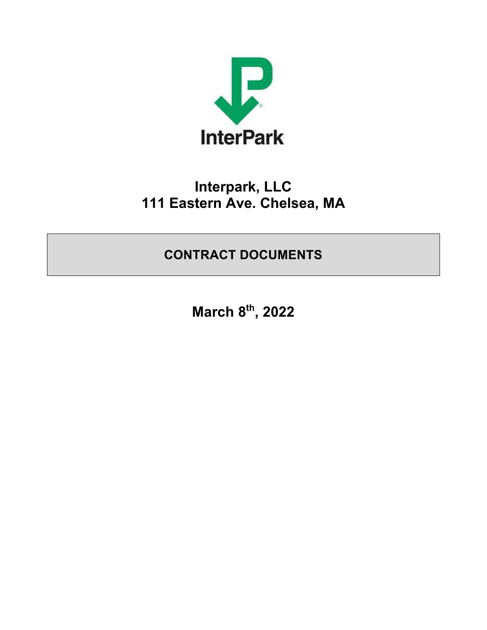

# **Interpark, LLC 111 Eastern Ave. Chelsea, MA**

**CONTRACT DOCUMENTS** 

**March 8th, 2022**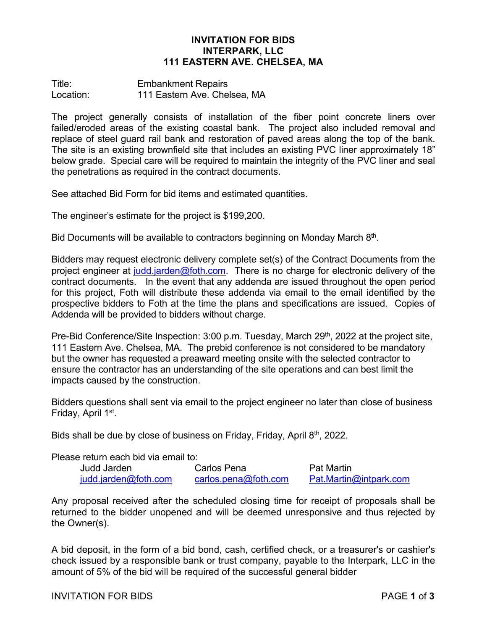#### **INVITATION FOR BIDS INTERPARK, LLC 111 EASTERN AVE. CHELSEA, MA**

Title: Embankment Repairs Location: 111 Eastern Ave. Chelsea, MA

The project generally consists of installation of the fiber point concrete liners over failed/eroded areas of the existing coastal bank. The project also included removal and replace of steel guard rail bank and restoration of paved areas along the top of the bank. The site is an existing brownfield site that includes an existing PVC liner approximately 18" below grade. Special care will be required to maintain the integrity of the PVC liner and seal the penetrations as required in the contract documents.

See attached Bid Form for bid items and estimated quantities.

The engineer's estimate for the project is \$199,200.

Bid Documents will be available to contractors beginning on Monday March  $8<sup>th</sup>$ .

Bidders may request electronic delivery complete set(s) of the Contract Documents from the project engineer at judd.jarden@foth.com. There is no charge for electronic delivery of the contract documents. In the event that any addenda are issued throughout the open period for this project, Foth will distribute these addenda via email to the email identified by the prospective bidders to Foth at the time the plans and specifications are issued. Copies of Addenda will be provided to bidders without charge.

Pre-Bid Conference/Site Inspection: 3:00 p.m. Tuesday, March 29<sup>th</sup>, 2022 at the project site, 111 Eastern Ave. Chelsea, MA. The prebid conference is not considered to be mandatory but the owner has requested a preaward meeting onsite with the selected contractor to ensure the contractor has an understanding of the site operations and can best limit the impacts caused by the construction.

Bidders questions shall sent via email to the project engineer no later than close of business Friday, April 1st.

Bids shall be due by close of business on Friday, Friday, April  $8<sup>th</sup>$ , 2022.

Please return each bid via email to:

| Judd Jarden          | Carlos Pena           | <b>Pat Martin</b>      |
|----------------------|-----------------------|------------------------|
| judd.jarden@foth.com | carlos. pena@foth.com | Pat.Martin@intpark.com |

Any proposal received after the scheduled closing time for receipt of proposals shall be returned to the bidder unopened and will be deemed unresponsive and thus rejected by the Owner(s).

A bid deposit, in the form of a bid bond, cash, certified check, or a treasurer's or cashier's check issued by a responsible bank or trust company, payable to the Interpark, LLC in the amount of 5% of the bid will be required of the successful general bidder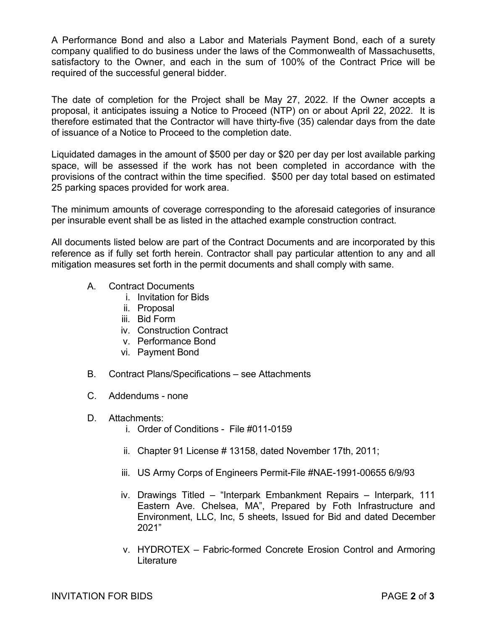A Performance Bond and also a Labor and Materials Payment Bond, each of a surety company qualified to do business under the laws of the Commonwealth of Massachusetts, satisfactory to the Owner, and each in the sum of 100% of the Contract Price will be required of the successful general bidder.

The date of completion for the Project shall be May 27, 2022. If the Owner accepts a proposal, it anticipates issuing a Notice to Proceed (NTP) on or about April 22, 2022. It is therefore estimated that the Contractor will have thirty-five (35) calendar days from the date of issuance of a Notice to Proceed to the completion date.

Liquidated damages in the amount of \$500 per day or \$20 per day per lost available parking space, will be assessed if the work has not been completed in accordance with the provisions of the contract within the time specified. \$500 per day total based on estimated 25 parking spaces provided for work area.

The minimum amounts of coverage corresponding to the aforesaid categories of insurance per insurable event shall be as listed in the attached example construction contract.

All documents listed below are part of the Contract Documents and are incorporated by this reference as if fully set forth herein. Contractor shall pay particular attention to any and all mitigation measures set forth in the permit documents and shall comply with same.

- A. Contract Documents
	- i. Invitation for Bids
	- ii. Proposal
	- iii. Bid Form
	- iv. Construction Contract
	- v. Performance Bond
	- vi. Payment Bond
- B. Contract Plans/Specifications see Attachments
- C. Addendums none
- D. Attachments:
	- i. Order of Conditions File #011-0159
	- ii. Chapter 91 License # 13158, dated November 17th, 2011;
	- iii. US Army Corps of Engineers Permit-File #NAE-1991-00655 6/9/93
	- iv. Drawings Titled "Interpark Embankment Repairs Interpark, 111 Eastern Ave. Chelsea, MA", Prepared by Foth Infrastructure and Environment, LLC, Inc, 5 sheets, Issued for Bid and dated December 2021"
	- v. HYDROTEX Fabric-formed Concrete Erosion Control and Armoring Literature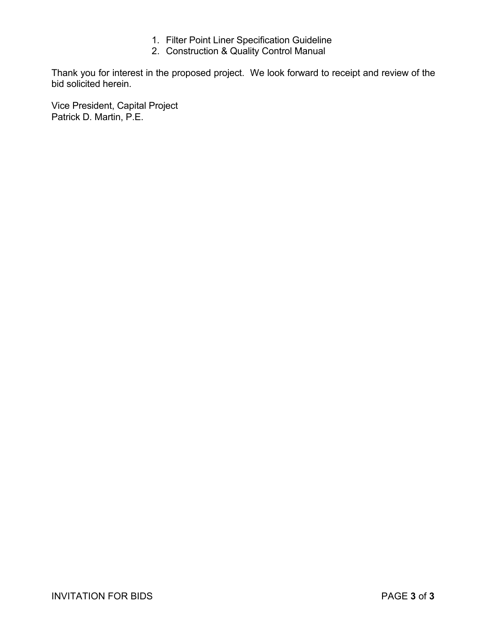- 1. Filter Point Liner Specification Guideline
- 2. Construction & Quality Control Manual

Thank you for interest in the proposed project. We look forward to receipt and review of the bid solicited herein.

Vice President, Capital Project Patrick D. Martin, P.E.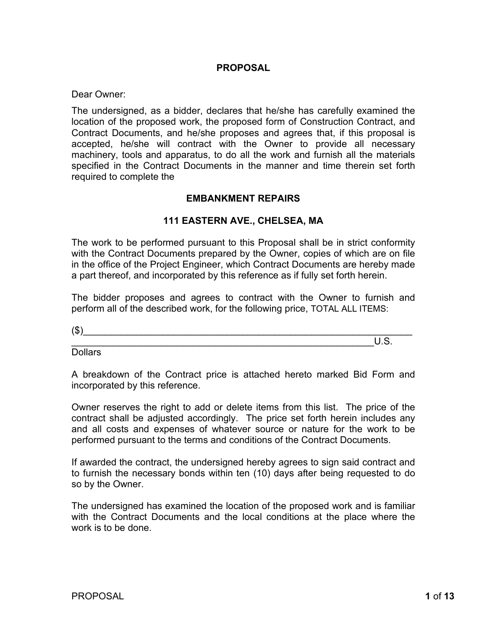## **PROPOSAL**

Dear Owner:

The undersigned, as a bidder, declares that he/she has carefully examined the location of the proposed work, the proposed form of Construction Contract, and Contract Documents, and he/she proposes and agrees that, if this proposal is accepted, he/she will contract with the Owner to provide all necessary machinery, tools and apparatus, to do all the work and furnish all the materials specified in the Contract Documents in the manner and time therein set forth required to complete the

## **EMBANKMENT REPAIRS**

## **111 EASTERN AVE., CHELSEA, MA**

The work to be performed pursuant to this Proposal shall be in strict conformity with the Contract Documents prepared by the Owner, copies of which are on file in the office of the Project Engineer, which Contract Documents are hereby made a part thereof, and incorporated by this reference as if fully set forth herein.

The bidder proposes and agrees to contract with the Owner to furnish and perform all of the described work, for the following price, TOTAL ALL ITEMS:

 $(\text{\$})$ \_\_\_\_\_\_\_\_\_\_\_\_\_\_\_\_\_\_\_\_\_\_\_\_\_\_\_\_\_\_\_\_\_\_\_\_\_\_\_\_\_\_\_\_\_\_\_\_\_\_\_\_\_\_\_\_\_U.S.

**Dollars** 

A breakdown of the Contract price is attached hereto marked Bid Form and incorporated by this reference.

Owner reserves the right to add or delete items from this list. The price of the contract shall be adjusted accordingly. The price set forth herein includes any and all costs and expenses of whatever source or nature for the work to be performed pursuant to the terms and conditions of the Contract Documents.

If awarded the contract, the undersigned hereby agrees to sign said contract and to furnish the necessary bonds within ten (10) days after being requested to do so by the Owner.

The undersigned has examined the location of the proposed work and is familiar with the Contract Documents and the local conditions at the place where the work is to be done.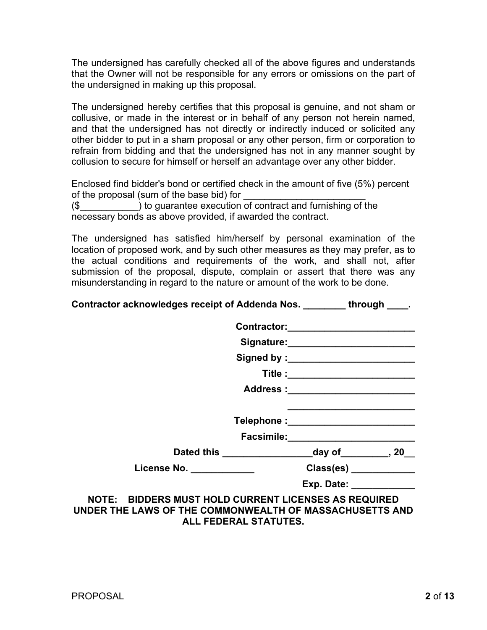The undersigned has carefully checked all of the above figures and understands that the Owner will not be responsible for any errors or omissions on the part of the undersigned in making up this proposal.

The undersigned hereby certifies that this proposal is genuine, and not sham or collusive, or made in the interest or in behalf of any person not herein named, and that the undersigned has not directly or indirectly induced or solicited any other bidder to put in a sham proposal or any other person, firm or corporation to refrain from bidding and that the undersigned has not in any manner sought by collusion to secure for himself or herself an advantage over any other bidder.

Enclosed find bidder's bond or certified check in the amount of five (5%) percent of the proposal (sum of the base bid) for (\$\_\_\_\_\_\_\_\_\_\_\_) to guarantee execution of contract and furnishing of the necessary bonds as above provided, if awarded the contract.

The undersigned has satisfied him/herself by personal examination of the location of proposed work, and by such other measures as they may prefer, as to the actual conditions and requirements of the work, and shall not, after submission of the proposal, dispute, complain or assert that there was any misunderstanding in regard to the nature or amount of the work to be done.

| <b>Contractor acknowledges receipt of Addenda Nos.</b> | through<br><u> 2000 - 2000 - 2000 - 2000 - 2000 - 2000 - 2000 - 2000 - 2000 - 2000 - 2000 - 2000 - 2000 - 2000 - 2000 - 200</u> |
|--------------------------------------------------------|---------------------------------------------------------------------------------------------------------------------------------|
|--------------------------------------------------------|---------------------------------------------------------------------------------------------------------------------------------|

|                                                       | Title :__________________________   |
|-------------------------------------------------------|-------------------------------------|
|                                                       | Address :_________________________  |
|                                                       | Telephone :_______________________  |
|                                                       | Facsimile: ________________________ |
|                                                       |                                     |
| License No. ___________                               | Class(es) _____________             |
|                                                       | Exp. Date: _____________            |
| <b>BIDDERS MUST HOLD CURRENT LICENSES AS REQUIRED</b> |                                     |

**NOTE: BIDDERS MUST HOLD CURRENT LICENSES AS REQUIRED UNDER THE LAWS OF THE COMMONWEALTH OF MASSACHUSETTS AND ALL FEDERAL STATUTES.**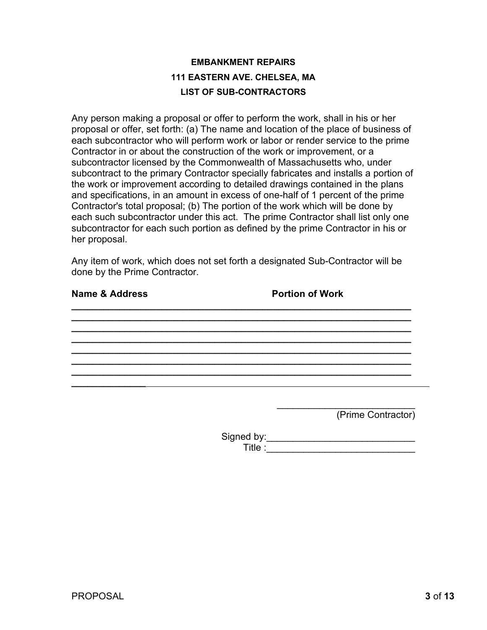# **EMBANKMENT REPAIRS 111 EASTERN AVE. CHELSEA, MA LIST OF SUB-CONTRACTORS**

Any person making a proposal or offer to perform the work, shall in his or her proposal or offer, set forth: (a) The name and location of the place of business of each subcontractor who will perform work or labor or render service to the prime Contractor in or about the construction of the work or improvement, or a subcontractor licensed by the Commonwealth of Massachusetts who, under subcontract to the primary Contractor specially fabricates and installs a portion of the work or improvement according to detailed drawings contained in the plans and specifications, in an amount in excess of one-half of 1 percent of the prime Contractor's total proposal; (b) The portion of the work which will be done by each such subcontractor under this act. The prime Contractor shall list only one subcontractor for each such portion as defined by the prime Contractor in his or her proposal.

Any item of work, which does not set forth a designated Sub-Contractor will be done by the Prime Contractor.

**\_\_\_\_\_\_\_\_\_\_\_\_\_\_\_\_\_\_\_\_\_\_\_\_\_\_\_\_\_\_\_\_\_\_\_\_\_\_\_\_\_\_\_\_\_\_\_\_\_\_\_\_\_\_\_\_\_\_\_\_\_\_\_\_ \_\_\_\_\_\_\_\_\_\_\_\_\_\_\_\_\_\_\_\_\_\_\_\_\_\_\_\_\_\_\_\_\_\_\_\_\_\_\_\_\_\_\_\_\_\_\_\_\_\_\_\_\_\_\_\_\_\_\_\_\_\_\_\_ \_\_\_\_\_\_\_\_\_\_\_\_\_\_\_\_\_\_\_\_\_\_\_\_\_\_\_\_\_\_\_\_\_\_\_\_\_\_\_\_\_\_\_\_\_\_\_\_\_\_\_\_\_\_\_\_\_\_\_\_\_\_\_\_ \_\_\_\_\_\_\_\_\_\_\_\_\_\_\_\_\_\_\_\_\_\_\_\_\_\_\_\_\_\_\_\_\_\_\_\_\_\_\_\_\_\_\_\_\_\_\_\_\_\_\_\_\_\_\_\_\_\_\_\_\_\_\_\_ \_\_\_\_\_\_\_\_\_\_\_\_\_\_\_\_\_\_\_\_\_\_\_\_\_\_\_\_\_\_\_\_\_\_\_\_\_\_\_\_\_\_\_\_\_\_\_\_\_\_\_\_\_\_\_\_\_\_\_\_\_\_\_\_**

**\_\_\_\_\_\_\_\_\_\_\_\_\_\_\_\_\_\_\_\_\_\_\_\_\_\_\_\_\_\_\_\_\_\_\_\_\_\_\_\_\_\_\_\_\_\_\_\_\_\_\_\_\_\_\_\_\_\_\_\_\_\_\_\_**

## **Name & Address <b>Portion of Work**

**\_\_\_\_\_\_\_\_\_\_\_\_\_\_**

**\_\_\_\_\_\_\_\_\_\_\_\_\_\_\_\_\_\_\_\_\_\_\_\_\_\_\_\_\_\_\_\_\_\_\_\_\_\_\_\_\_\_\_\_\_\_\_\_\_\_\_\_\_\_\_\_\_\_\_\_\_\_\_\_**

\_\_\_\_\_\_\_\_\_\_\_\_\_\_\_\_\_\_\_\_\_\_\_\_\_\_ (Prime Contractor)

Signed by:\_\_\_\_\_\_\_\_\_\_\_\_\_\_\_\_\_\_\_\_\_\_\_\_\_\_\_\_\_\_\_\_\_\_\_ Title :\_\_\_\_\_\_\_\_\_\_\_\_\_\_\_\_\_\_\_\_\_\_\_\_\_\_\_\_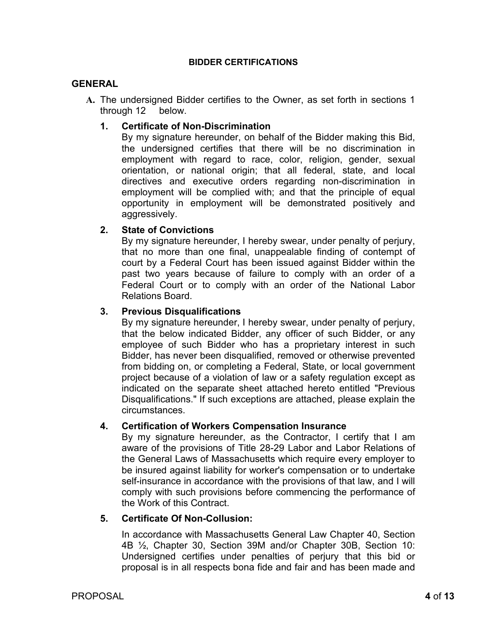#### **BIDDER CERTIFICATIONS**

#### **GENERAL**

**A.** The undersigned Bidder certifies to the Owner, as set forth in sections 1 through 12 below.

## **1. Certificate of Non-Discrimination**

By my signature hereunder, on behalf of the Bidder making this Bid, the undersigned certifies that there will be no discrimination in employment with regard to race, color, religion, gender, sexual orientation, or national origin; that all federal, state, and local directives and executive orders regarding non-discrimination in employment will be complied with; and that the principle of equal opportunity in employment will be demonstrated positively and aggressively.

## **2. State of Convictions**

By my signature hereunder, I hereby swear, under penalty of perjury, that no more than one final, unappealable finding of contempt of court by a Federal Court has been issued against Bidder within the past two years because of failure to comply with an order of a Federal Court or to comply with an order of the National Labor Relations Board.

## **3. Previous Disqualifications**

By my signature hereunder, I hereby swear, under penalty of perjury, that the below indicated Bidder, any officer of such Bidder, or any employee of such Bidder who has a proprietary interest in such Bidder, has never been disqualified, removed or otherwise prevented from bidding on, or completing a Federal, State, or local government project because of a violation of law or a safety regulation except as indicated on the separate sheet attached hereto entitled "Previous Disqualifications." If such exceptions are attached, please explain the circumstances.

## **4. Certification of Workers Compensation Insurance**

By my signature hereunder, as the Contractor, I certify that I am aware of the provisions of Title 28-29 Labor and Labor Relations of the General Laws of Massachusetts which require every employer to be insured against liability for worker's compensation or to undertake self-insurance in accordance with the provisions of that law, and I will comply with such provisions before commencing the performance of the Work of this Contract.

## **5. Certificate Of Non-Collusion:**

In accordance with Massachusetts General Law Chapter 40, Section 4B ½, Chapter 30, Section 39M and/or Chapter 30B, Section 10: Undersigned certifies under penalties of perjury that this bid or proposal is in all respects bona fide and fair and has been made and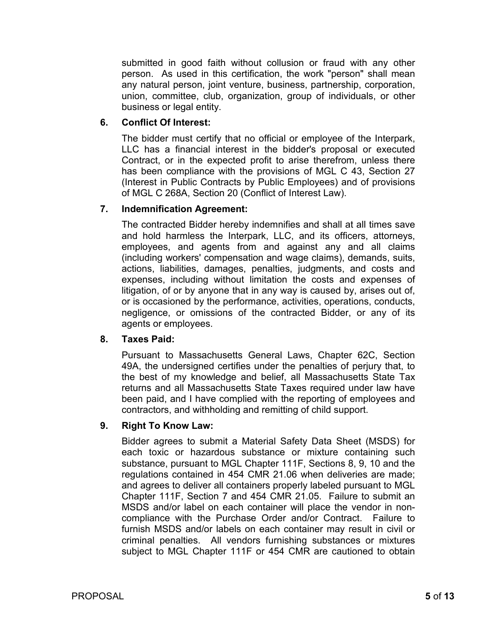submitted in good faith without collusion or fraud with any other person. As used in this certification, the work "person" shall mean any natural person, joint venture, business, partnership, corporation, union, committee, club, organization, group of individuals, or other business or legal entity.

## **6. Conflict Of Interest:**

The bidder must certify that no official or employee of the Interpark, LLC has a financial interest in the bidder's proposal or executed Contract, or in the expected profit to arise therefrom, unless there has been compliance with the provisions of MGL C 43, Section 27 (Interest in Public Contracts by Public Employees) and of provisions of MGL C 268A, Section 20 (Conflict of Interest Law).

## **7. Indemnification Agreement:**

The contracted Bidder hereby indemnifies and shall at all times save and hold harmless the Interpark, LLC, and its officers, attorneys, employees, and agents from and against any and all claims (including workers' compensation and wage claims), demands, suits, actions, liabilities, damages, penalties, judgments, and costs and expenses, including without limitation the costs and expenses of litigation, of or by anyone that in any way is caused by, arises out of, or is occasioned by the performance, activities, operations, conducts, negligence, or omissions of the contracted Bidder, or any of its agents or employees.

## **8. Taxes Paid:**

Pursuant to Massachusetts General Laws, Chapter 62C, Section 49A, the undersigned certifies under the penalties of perjury that, to the best of my knowledge and belief, all Massachusetts State Tax returns and all Massachusetts State Taxes required under law have been paid, and I have complied with the reporting of employees and contractors, and withholding and remitting of child support.

## **9. Right To Know Law:**

Bidder agrees to submit a Material Safety Data Sheet (MSDS) for each toxic or hazardous substance or mixture containing such substance, pursuant to MGL Chapter 111F, Sections 8, 9, 10 and the regulations contained in 454 CMR 21.06 when deliveries are made; and agrees to deliver all containers properly labeled pursuant to MGL Chapter 111F, Section 7 and 454 CMR 21.05. Failure to submit an MSDS and/or label on each container will place the vendor in noncompliance with the Purchase Order and/or Contract. Failure to furnish MSDS and/or labels on each container may result in civil or criminal penalties. All vendors furnishing substances or mixtures subject to MGL Chapter 111F or 454 CMR are cautioned to obtain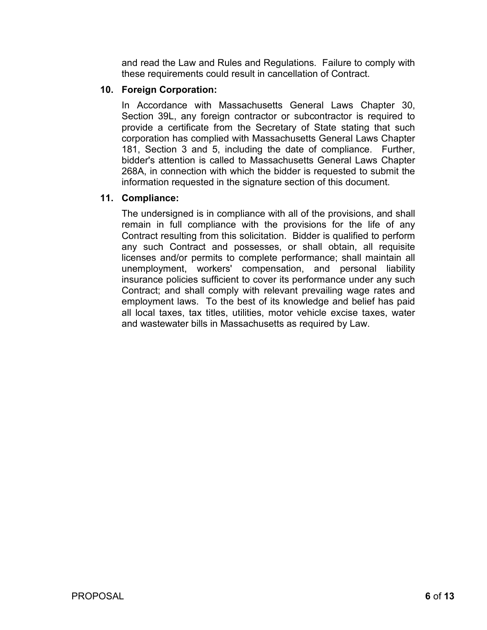and read the Law and Rules and Regulations. Failure to comply with these requirements could result in cancellation of Contract.

## **10. Foreign Corporation:**

In Accordance with Massachusetts General Laws Chapter 30, Section 39L, any foreign contractor or subcontractor is required to provide a certificate from the Secretary of State stating that such corporation has complied with Massachusetts General Laws Chapter 181, Section 3 and 5, including the date of compliance. Further, bidder's attention is called to Massachusetts General Laws Chapter 268A, in connection with which the bidder is requested to submit the information requested in the signature section of this document.

## **11. Compliance:**

The undersigned is in compliance with all of the provisions, and shall remain in full compliance with the provisions for the life of any Contract resulting from this solicitation. Bidder is qualified to perform any such Contract and possesses, or shall obtain, all requisite licenses and/or permits to complete performance; shall maintain all unemployment, workers' compensation, and personal liability insurance policies sufficient to cover its performance under any such Contract; and shall comply with relevant prevailing wage rates and employment laws. To the best of its knowledge and belief has paid all local taxes, tax titles, utilities, motor vehicle excise taxes, water and wastewater bills in Massachusetts as required by Law.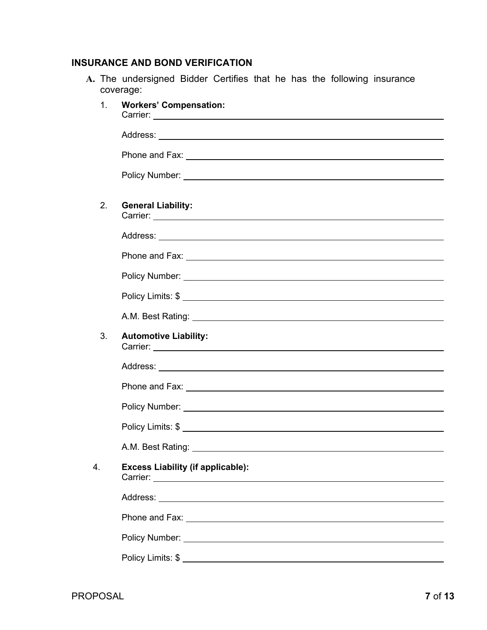# **INSURANCE AND BOND VERIFICATION**

**A.** The undersigned Bidder Certifies that he has the following insurance coverage:

| 1 <sub>1</sub> | <b>Workers' Compensation:</b><br>Carrier: <b>Carrier: Carrier: Carrier: Carrier: Carrier: Carrier: Carrier: Carrier: Carrier: Carrier: Carrier: Carrier: Carrier: Carrier: Carrier: Carrier: Carrier: Carrier: Carrier: Car</b>                               |
|----------------|---------------------------------------------------------------------------------------------------------------------------------------------------------------------------------------------------------------------------------------------------------------|
|                |                                                                                                                                                                                                                                                               |
|                |                                                                                                                                                                                                                                                               |
|                |                                                                                                                                                                                                                                                               |
|                |                                                                                                                                                                                                                                                               |
| 2.             | <b>General Liability:</b>                                                                                                                                                                                                                                     |
|                |                                                                                                                                                                                                                                                               |
|                |                                                                                                                                                                                                                                                               |
|                |                                                                                                                                                                                                                                                               |
|                |                                                                                                                                                                                                                                                               |
|                |                                                                                                                                                                                                                                                               |
| 3.             | <b>Automotive Liability:</b><br>Carrier: North American Contract Contract Contract Contract Contract Contract Contract Contract Contract Contract Contract Contract Contract Contract Contract Contract Contract Contract Contract Contract Contract Contract |
|                |                                                                                                                                                                                                                                                               |
|                | Phone and Fax: <u>December 2008</u>                                                                                                                                                                                                                           |
|                |                                                                                                                                                                                                                                                               |
|                |                                                                                                                                                                                                                                                               |
|                |                                                                                                                                                                                                                                                               |
| 4.             | <b>Excess Liability (if applicable):</b>                                                                                                                                                                                                                      |
|                |                                                                                                                                                                                                                                                               |
|                |                                                                                                                                                                                                                                                               |
|                |                                                                                                                                                                                                                                                               |
|                |                                                                                                                                                                                                                                                               |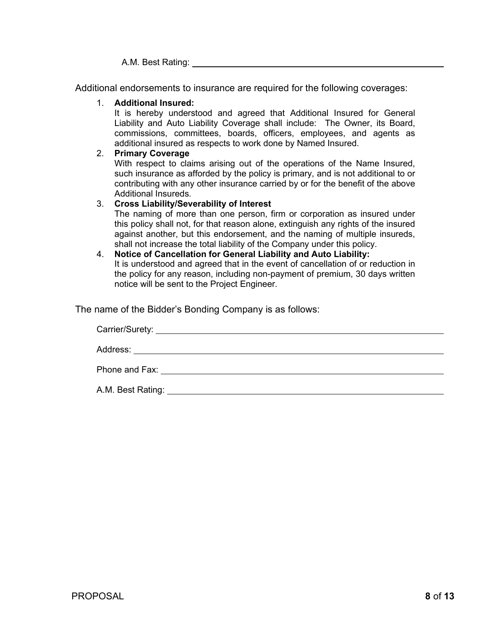A.M. Best Rating:

Additional endorsements to insurance are required for the following coverages:

#### 1. **Additional Insured:**

It is hereby understood and agreed that Additional Insured for General Liability and Auto Liability Coverage shall include: The Owner, its Board, commissions, committees, boards, officers, employees, and agents as additional insured as respects to work done by Named Insured.

#### 2. **Primary Coverage**

With respect to claims arising out of the operations of the Name Insured, such insurance as afforded by the policy is primary, and is not additional to or contributing with any other insurance carried by or for the benefit of the above Additional Insureds.

## 3. **Cross Liability/Severability of Interest**

The naming of more than one person, firm or corporation as insured under this policy shall not, for that reason alone, extinguish any rights of the insured against another, but this endorsement, and the naming of multiple insureds, shall not increase the total liability of the Company under this policy.

#### 4. **Notice of Cancellation for General Liability and Auto Liability:**  It is understood and agreed that in the event of cancellation of or reduction in the policy for any reason, including non-payment of premium, 30 days written notice will be sent to the Project Engineer.

The name of the Bidder's Bonding Company is as follows:

Carrier/Surety: Address: **Address: Address: Address: Address: Address: Address: Address: Address: Address: Address: Address: Address: Address: Address: Address: Address: Address: Address: Address: Add** Phone and Fax: <u>experience</u> and the set of the set of the set of the set of the set of the set of the set of the set of the set of the set of the set of the set of the set of the set of the set of the set of the set of the A.M. Best Rating: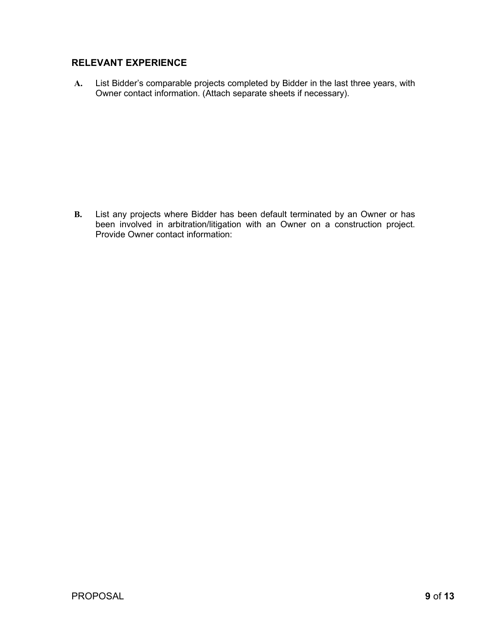## **RELEVANT EXPERIENCE**

**A.** List Bidder's comparable projects completed by Bidder in the last three years, with Owner contact information. (Attach separate sheets if necessary).

**B.** List any projects where Bidder has been default terminated by an Owner or has been involved in arbitration/litigation with an Owner on a construction project. Provide Owner contact information: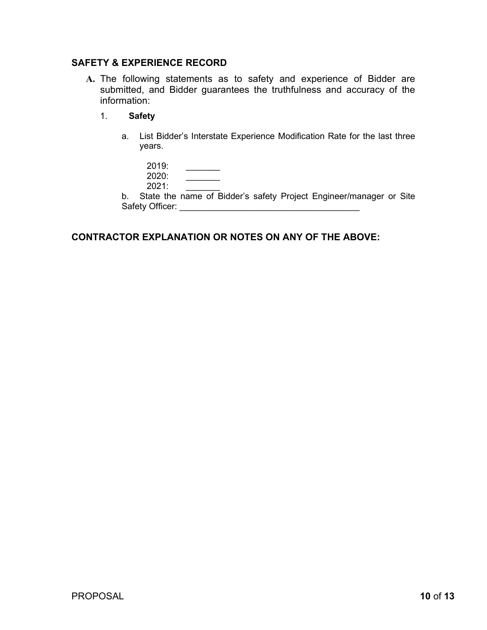## **SAFETY & EXPERIENCE RECORD**

- **A.** The following statements as to safety and experience of Bidder are submitted, and Bidder guarantees the truthfulness and accuracy of the information:
	- 1. **Safety** 
		- a. List Bidder's Interstate Experience Modification Rate for the last three years.

| 2019: |  |
|-------|--|
| 2020: |  |
| 2021: |  |

b. State the name of Bidder's safety Project Engineer/manager or Site Safety Officer: **Example 20** 

## **CONTRACTOR EXPLANATION OR NOTES ON ANY OF THE ABOVE:**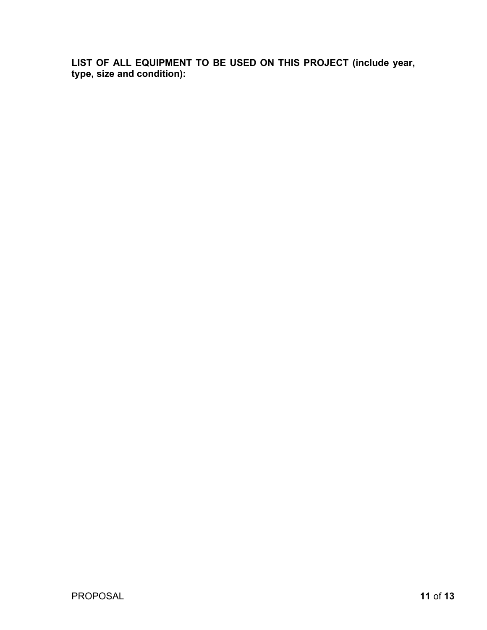**LIST OF ALL EQUIPMENT TO BE USED ON THIS PROJECT (include year, type, size and condition):**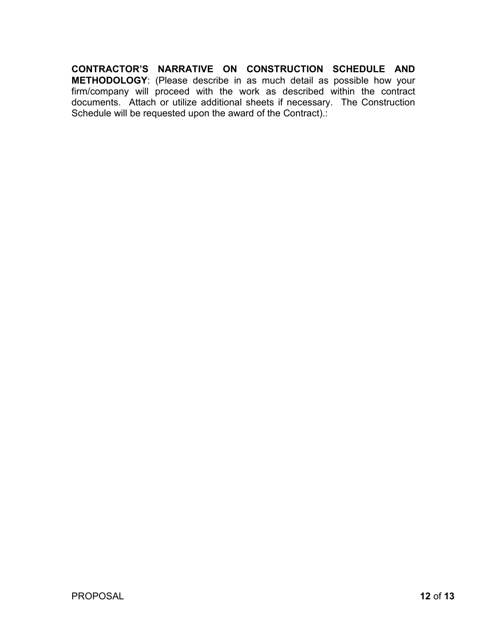**CONTRACTOR'S NARRATIVE ON CONSTRUCTION SCHEDULE AND METHODOLOGY**: (Please describe in as much detail as possible how your firm/company will proceed with the work as described within the contract documents. Attach or utilize additional sheets if necessary. The Construction Schedule will be requested upon the award of the Contract).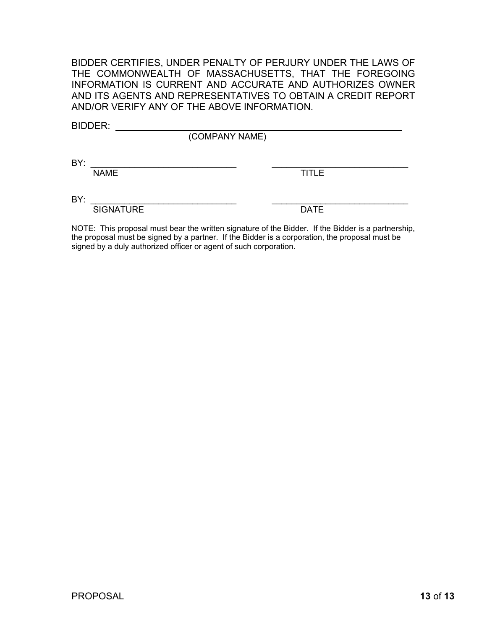BIDDER CERTIFIES, UNDER PENALTY OF PERJURY UNDER THE LAWS OF THE COMMONWEALTH OF MASSACHUSETTS, THAT THE FOREGOING INFORMATION IS CURRENT AND ACCURATE AND AUTHORIZES OWNER AND ITS AGENTS AND REPRESENTATIVES TO OBTAIN A CREDIT REPORT AND/OR VERIFY ANY OF THE ABOVE INFORMATION.

| <b>TITLE</b>                                                                                               |
|------------------------------------------------------------------------------------------------------------|
|                                                                                                            |
| <b>DATE</b>                                                                                                |
| $M \cap TT$ . This proposed much been the written signature of the Didden. If the Didden is a partner-thin |

NOTE: This proposal must bear the written signature of the Bidder. If the Bidder is a partnership, the proposal must be signed by a partner. If the Bidder is a corporation, the proposal must be signed by a duly authorized officer or agent of such corporation.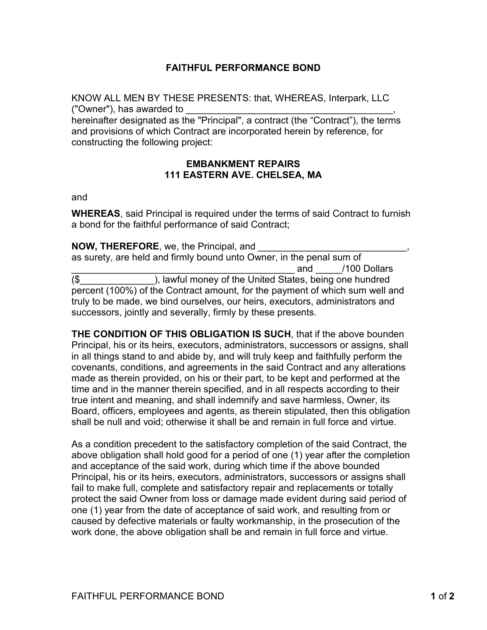## **FAITHFUL PERFORMANCE BOND**

KNOW ALL MEN BY THESE PRESENTS: that, WHEREAS, Interpark, LLC ("Owner"), has awarded to \_\_\_\_\_\_\_\_\_\_\_\_\_\_\_\_\_\_\_\_\_\_\_\_\_\_\_\_\_\_\_\_\_\_\_\_\_\_\_,

hereinafter designated as the "Principal", a contract (the "Contract"), the terms and provisions of which Contract are incorporated herein by reference, for constructing the following project:

#### **EMBANKMENT REPAIRS 111 EASTERN AVE. CHELSEA, MA**

and

**WHEREAS**, said Principal is required under the terms of said Contract to furnish a bond for the faithful performance of said Contract;

**NOW, THEREFORE, we, the Principal, and** as surety, are held and firmly bound unto Owner, in the penal sum of and /100 Dollars (\$\_\_\_\_\_\_\_\_\_\_\_\_\_\_), lawful money of the United States, being one hundred percent (100%) of the Contract amount, for the payment of which sum well and truly to be made, we bind ourselves, our heirs, executors, administrators and successors, jointly and severally, firmly by these presents.

**THE CONDITION OF THIS OBLIGATION IS SUCH**, that if the above bounden Principal, his or its heirs, executors, administrators, successors or assigns, shall in all things stand to and abide by, and will truly keep and faithfully perform the covenants, conditions, and agreements in the said Contract and any alterations made as therein provided, on his or their part, to be kept and performed at the time and in the manner therein specified, and in all respects according to their true intent and meaning, and shall indemnify and save harmless, Owner, its Board, officers, employees and agents, as therein stipulated, then this obligation shall be null and void; otherwise it shall be and remain in full force and virtue.

As a condition precedent to the satisfactory completion of the said Contract, the above obligation shall hold good for a period of one (1) year after the completion and acceptance of the said work, during which time if the above bounded Principal, his or its heirs, executors, administrators, successors or assigns shall fail to make full, complete and satisfactory repair and replacements or totally protect the said Owner from loss or damage made evident during said period of one (1) year from the date of acceptance of said work, and resulting from or caused by defective materials or faulty workmanship, in the prosecution of the work done, the above obligation shall be and remain in full force and virtue.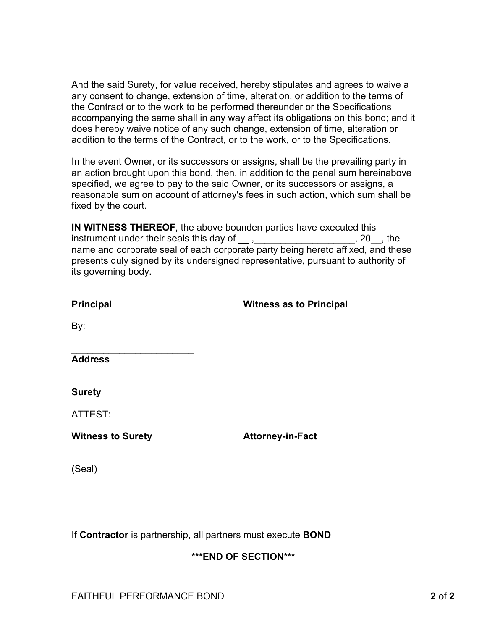And the said Surety, for value received, hereby stipulates and agrees to waive a any consent to change, extension of time, alteration, or addition to the terms of the Contract or to the work to be performed thereunder or the Specifications accompanying the same shall in any way affect its obligations on this bond; and it does hereby waive notice of any such change, extension of time, alteration or addition to the terms of the Contract, or to the work, or to the Specifications.

In the event Owner, or its successors or assigns, shall be the prevailing party in an action brought upon this bond, then, in addition to the penal sum hereinabove specified, we agree to pay to the said Owner, or its successors or assigns, a reasonable sum on account of attorney's fees in such action, which sum shall be fixed by the court.

**IN WITNESS THEREOF**, the above bounden parties have executed this instrument under their seals this day of  $\_\_\,,\_\_\_\_\_\_\_$ name and corporate seal of each corporate party being hereto affixed, and these presents duly signed by its undersigned representative, pursuant to authority of its governing body.

| <b>Principal</b>         | <b>Witness as to Principal</b> |
|--------------------------|--------------------------------|
| By:                      |                                |
| <b>Address</b>           |                                |
| <b>Surety</b>            |                                |
| ATTEST:                  |                                |
| <b>Witness to Surety</b> | <b>Attorney-in-Fact</b>        |
| (Seal)                   |                                |
|                          |                                |

If **Contractor** is partnership, all partners must execute **BOND**

# **\*\*\*END OF SECTION\*\*\***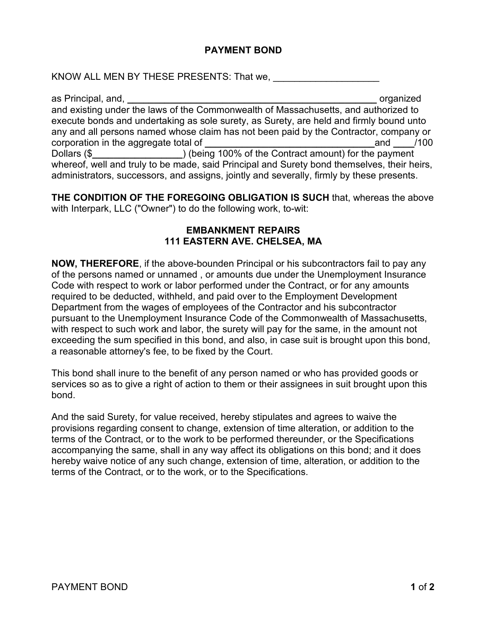## **PAYMENT BOND**

KNOW ALL MEN BY THESE PRESENTS: That we,

as Principal, and, **\_\_\_\_\_\_\_\_\_\_\_\_\_\_\_\_\_\_\_\_\_\_\_\_\_\_\_\_\_\_\_\_\_\_\_\_\_\_\_\_\_\_\_\_\_\_\_** organized and existing under the laws of the Commonwealth of Massachusetts, and authorized to execute bonds and undertaking as sole surety, as Surety, are held and firmly bound unto any and all persons named whose claim has not been paid by the Contractor, company or corporation in the aggregate total of **and**  $\blacksquare$  **and**  $\blacksquare$  /100 Dollars (\$**\_\_\_\_\_\_\_\_\_\_\_\_\_\_\_\_\_**) (being 100% of the Contract amount) for the payment whereof, well and truly to be made, said Principal and Surety bond themselves, their heirs, administrators, successors, and assigns, jointly and severally, firmly by these presents.

**THE CONDITION OF THE FOREGOING OBLIGATION IS SUCH** that, whereas the above with Interpark, LLC ("Owner") to do the following work, to-wit:

#### **EMBANKMENT REPAIRS 111 EASTERN AVE. CHELSEA, MA**

**NOW, THEREFORE**, if the above-bounden Principal or his subcontractors fail to pay any of the persons named or unnamed , or amounts due under the Unemployment Insurance Code with respect to work or labor performed under the Contract, or for any amounts required to be deducted, withheld, and paid over to the Employment Development Department from the wages of employees of the Contractor and his subcontractor pursuant to the Unemployment Insurance Code of the Commonwealth of Massachusetts, with respect to such work and labor, the surety will pay for the same, in the amount not exceeding the sum specified in this bond, and also, in case suit is brought upon this bond, a reasonable attorney's fee, to be fixed by the Court.

This bond shall inure to the benefit of any person named or who has provided goods or services so as to give a right of action to them or their assignees in suit brought upon this bond.

And the said Surety, for value received, hereby stipulates and agrees to waive the provisions regarding consent to change, extension of time alteration, or addition to the terms of the Contract, or to the work to be performed thereunder, or the Specifications accompanying the same, shall in any way affect its obligations on this bond; and it does hereby waive notice of any such change, extension of time, alteration, or addition to the terms of the Contract, or to the work, or to the Specifications.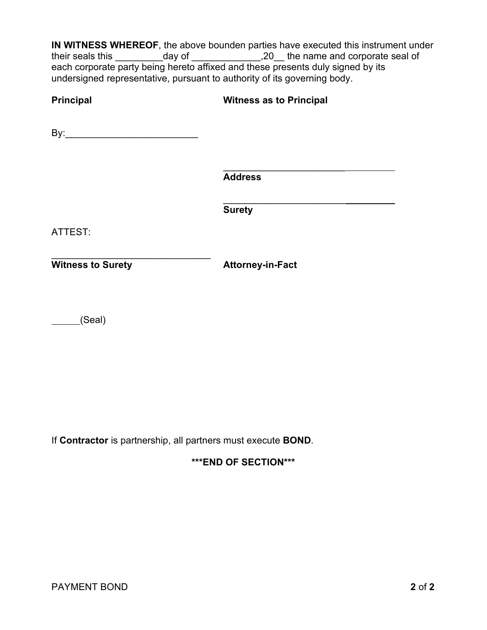**IN WITNESS WHEREOF**, the above bounden parties have executed this instrument under their seals this \_\_\_\_\_\_\_\_\_day of \_\_\_\_\_\_\_\_\_\_\_\_\_,20\_\_ the name and corporate seal of each corporate party being hereto affixed and these presents duly signed by its undersigned representative, pursuant to authority of its governing body.

| <b>Principal</b>         | <b>Witness as to Principal</b> |
|--------------------------|--------------------------------|
|                          |                                |
|                          | <b>Address</b>                 |
|                          | <b>Surety</b>                  |
| ATTEST:                  |                                |
| <b>Witness to Surety</b> | <b>Attorney-in-Fact</b>        |
| (Seal)                   |                                |

If **Contractor** is partnership, all partners must execute **BOND**.

## **\*\*\*END OF SECTION\*\*\***